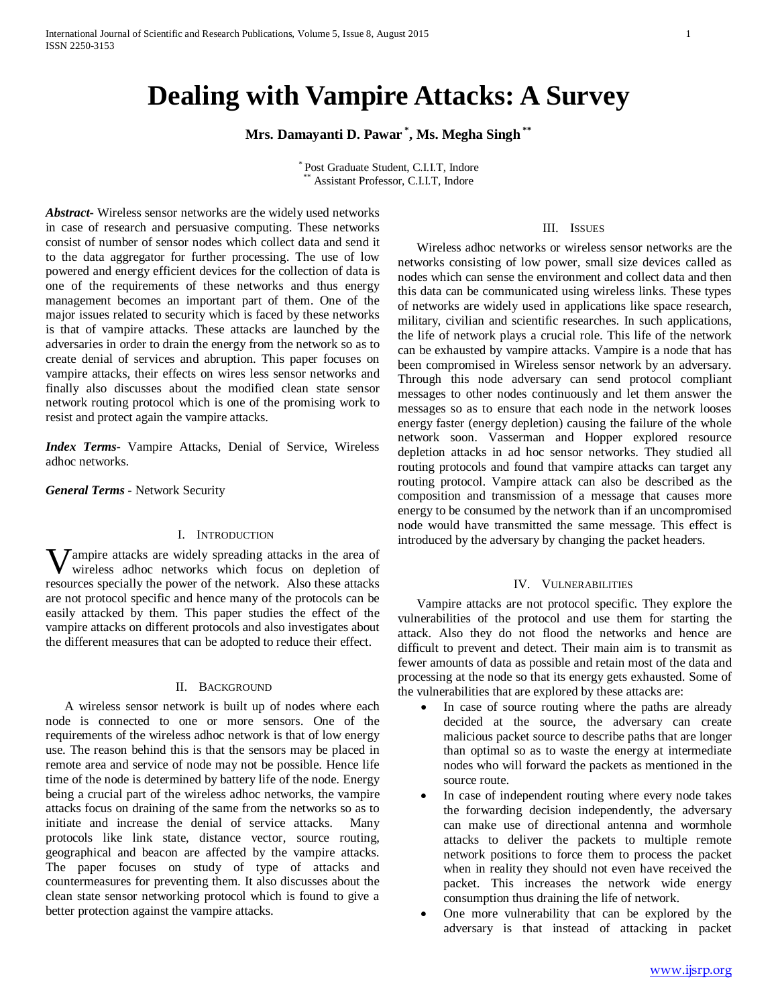# **Dealing with Vampire Attacks: A Survey**

**Mrs. Damayanti D. Pawar \* , Ms. Megha Singh\*\***

\* Post Graduate Student, C.I.I.T, Indore Assistant Professor, C.I.I.T, Indore

*Abstract***-** Wireless sensor networks are the widely used networks in case of research and persuasive computing. These networks consist of number of sensor nodes which collect data and send it to the data aggregator for further processing. The use of low powered and energy efficient devices for the collection of data is one of the requirements of these networks and thus energy management becomes an important part of them. One of the major issues related to security which is faced by these networks is that of vampire attacks. These attacks are launched by the adversaries in order to drain the energy from the network so as to create denial of services and abruption. This paper focuses on vampire attacks, their effects on wires less sensor networks and finally also discusses about the modified clean state sensor network routing protocol which is one of the promising work to resist and protect again the vampire attacks.

*Index Terms*- Vampire Attacks, Denial of Service, Wireless adhoc networks.

*General Terms* - Network Security

## I. INTRODUCTION

**V** ampire attacks are widely spreading attacks in the area of wireless adhoc networks which focus on depletion of wireless adhoc networks which focus on depletion of resources specially the power of the network. Also these attacks are not protocol specific and hence many of the protocols can be easily attacked by them. This paper studies the effect of the vampire attacks on different protocols and also investigates about the different measures that can be adopted to reduce their effect.

#### II. BACKGROUND

 A wireless sensor network is built up of nodes where each node is connected to one or more sensors. One of the requirements of the wireless adhoc network is that of low energy use. The reason behind this is that the sensors may be placed in remote area and service of node may not be possible. Hence life time of the node is determined by battery life of the node. Energy being a crucial part of the wireless adhoc networks, the vampire attacks focus on draining of the same from the networks so as to initiate and increase the denial of service attacks. Many protocols like link state, distance vector, source routing, geographical and beacon are affected by the vampire attacks. The paper focuses on study of type of attacks and countermeasures for preventing them. It also discusses about the clean state sensor networking protocol which is found to give a better protection against the vampire attacks.

## III. ISSUES

 Wireless adhoc networks or wireless sensor networks are the networks consisting of low power, small size devices called as nodes which can sense the environment and collect data and then this data can be communicated using wireless links. These types of networks are widely used in applications like space research, military, civilian and scientific researches. In such applications, the life of network plays a crucial role. This life of the network can be exhausted by vampire attacks. Vampire is a node that has been compromised in Wireless sensor network by an adversary. Through this node adversary can send protocol compliant messages to other nodes continuously and let them answer the messages so as to ensure that each node in the network looses energy faster (energy depletion) causing the failure of the whole network soon. Vasserman and Hopper explored resource depletion attacks in ad hoc sensor networks. They studied all routing protocols and found that vampire attacks can target any routing protocol. Vampire attack can also be described as the composition and transmission of a message that causes more energy to be consumed by the network than if an uncompromised node would have transmitted the same message. This effect is introduced by the adversary by changing the packet headers.

#### IV. VULNERABILITIES

 Vampire attacks are not protocol specific. They explore the vulnerabilities of the protocol and use them for starting the attack. Also they do not flood the networks and hence are difficult to prevent and detect. Their main aim is to transmit as fewer amounts of data as possible and retain most of the data and processing at the node so that its energy gets exhausted. Some of the vulnerabilities that are explored by these attacks are:

- In case of source routing where the paths are already decided at the source, the adversary can create malicious packet source to describe paths that are longer than optimal so as to waste the energy at intermediate nodes who will forward the packets as mentioned in the source route.
- In case of independent routing where every node takes the forwarding decision independently, the adversary can make use of directional antenna and wormhole attacks to deliver the packets to multiple remote network positions to force them to process the packet when in reality they should not even have received the packet. This increases the network wide energy consumption thus draining the life of network.
- One more vulnerability that can be explored by the adversary is that instead of attacking in packet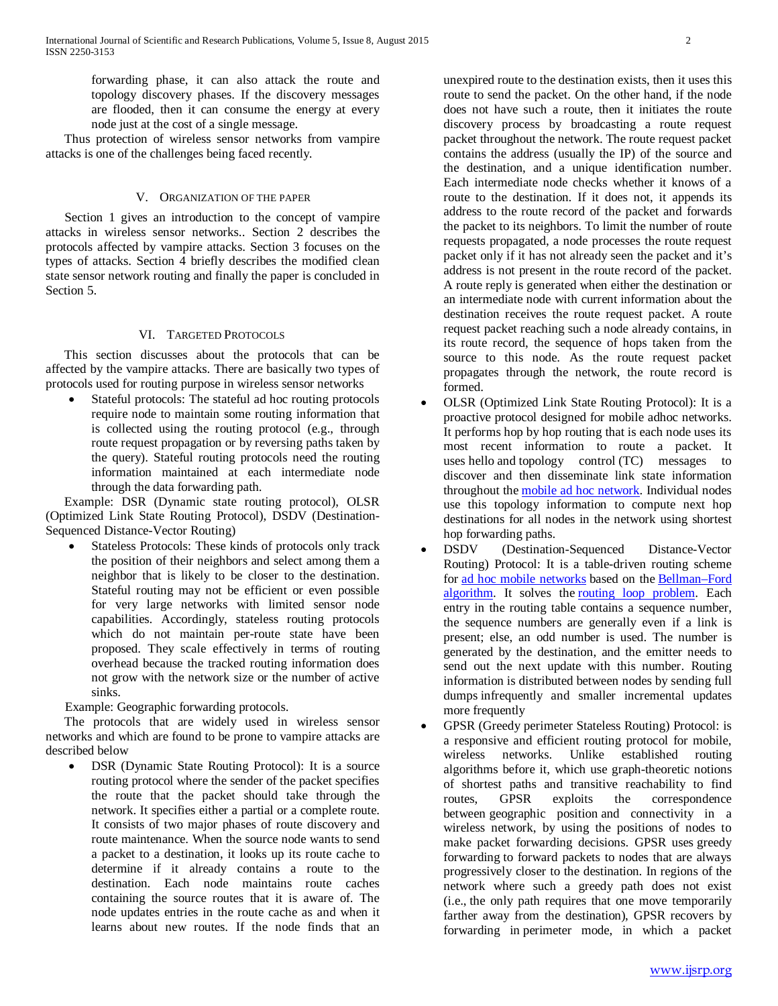forwarding phase, it can also attack the route and topology discovery phases. If the discovery messages are flooded, then it can consume the energy at every node just at the cost of a single message.

 Thus protection of wireless sensor networks from vampire attacks is one of the challenges being faced recently.

# V. ORGANIZATION OF THE PAPER

 Section 1 gives an introduction to the concept of vampire attacks in wireless sensor networks.. Section 2 describes the protocols affected by vampire attacks. Section 3 focuses on the types of attacks. Section 4 briefly describes the modified clean state sensor network routing and finally the paper is concluded in Section 5.

# VI. TARGETED PROTOCOLS

 This section discusses about the protocols that can be affected by the vampire attacks. There are basically two types of protocols used for routing purpose in wireless sensor networks

Stateful protocols: The stateful ad hoc routing protocols require node to maintain some routing information that is collected using the routing protocol (e.g., through route request propagation or by reversing paths taken by the query). Stateful routing protocols need the routing information maintained at each intermediate node through the data forwarding path.

 Example: DSR (Dynamic state routing protocol), OLSR (Optimized Link State Routing Protocol), DSDV (Destination-Sequenced Distance-Vector Routing)

Stateless Protocols: These kinds of protocols only track the position of their neighbors and select among them a neighbor that is likely to be closer to the destination. Stateful routing may not be efficient or even possible for very large networks with limited sensor node capabilities. Accordingly, stateless routing protocols which do not maintain per-route state have been proposed. They scale effectively in terms of routing overhead because the tracked routing information does not grow with the network size or the number of active sinks.

Example: Geographic forwarding protocols.

 The protocols that are widely used in wireless sensor networks and which are found to be prone to vampire attacks are described below

• DSR (Dynamic State Routing Protocol): It is a source routing protocol where the sender of the packet specifies the route that the packet should take through the network. It specifies either a partial or a complete route. It consists of two major phases of route discovery and route maintenance. When the source node wants to send a packet to a destination, it looks up its route cache to determine if it already contains a route to the destination. Each node maintains route caches containing the source routes that it is aware of. The node updates entries in the route cache as and when it learns about new routes. If the node finds that an

unexpired route to the destination exists, then it uses this route to send the packet. On the other hand, if the node does not have such a route, then it initiates the route discovery process by broadcasting a route request packet throughout the network. The route request packet contains the address (usually the IP) of the source and the destination, and a unique identification number. Each intermediate node checks whether it knows of a route to the destination. If it does not, it appends its address to the route record of the packet and forwards the packet to its neighbors. To limit the number of route requests propagated, a node processes the route request packet only if it has not already seen the packet and it's address is not present in the route record of the packet. A route reply is generated when either the destination or an intermediate node with current information about the destination receives the route request packet. A route request packet reaching such a node already contains, in its route record, the sequence of hops taken from the source to this node. As the route request packet propagates through the network, the route record is formed.

- OLSR (Optimized Link State Routing Protocol): It is a proactive protocol designed for mobile adhoc networks. It performs hop by hop routing that is each node uses its most recent information to route a packet. It uses hello and topology control (TC) messages to discover and then disseminate link state information throughout the [mobile ad hoc network.](http://en.wikipedia.org/wiki/Mobile_ad_hoc_network) Individual nodes use this topology information to compute next hop destinations for all nodes in the network using shortest hop forwarding paths.
- DSDV (Destination-Sequenced Distance-Vector Routing) Protocol: It is a table-driven routing scheme for [ad hoc mobile networks](http://en.wikipedia.org/wiki/Mobile_ad_hoc_network) based on the [Bellman–Ford](http://en.wikipedia.org/wiki/Bellman%E2%80%93Ford_algorithm)  [algorithm.](http://en.wikipedia.org/wiki/Bellman%E2%80%93Ford_algorithm) It solves the [routing loop problem.](http://en.wikipedia.org/wiki/Routing_loop_problem) Each entry in the routing table contains a sequence number, the sequence numbers are generally even if a link is present; else, an odd number is used. The number is generated by the destination, and the emitter needs to send out the next update with this number. Routing information is distributed between nodes by sending full dumps infrequently and smaller incremental updates more frequently
- GPSR (Greedy perimeter Stateless Routing) Protocol: is a responsive and efficient routing protocol for mobile, wireless networks. Unlike established routing algorithms before it, which use graph-theoretic notions of shortest paths and transitive reachability to find routes, GPSR exploits the correspondence between geographic position and connectivity in a wireless network, by using the positions of nodes to make packet forwarding decisions. GPSR uses greedy forwarding to forward packets to nodes that are always progressively closer to the destination. In regions of the network where such a greedy path does not exist (i.e., the only path requires that one move temporarily farther away from the destination), GPSR recovers by forwarding in perimeter mode, in which a packet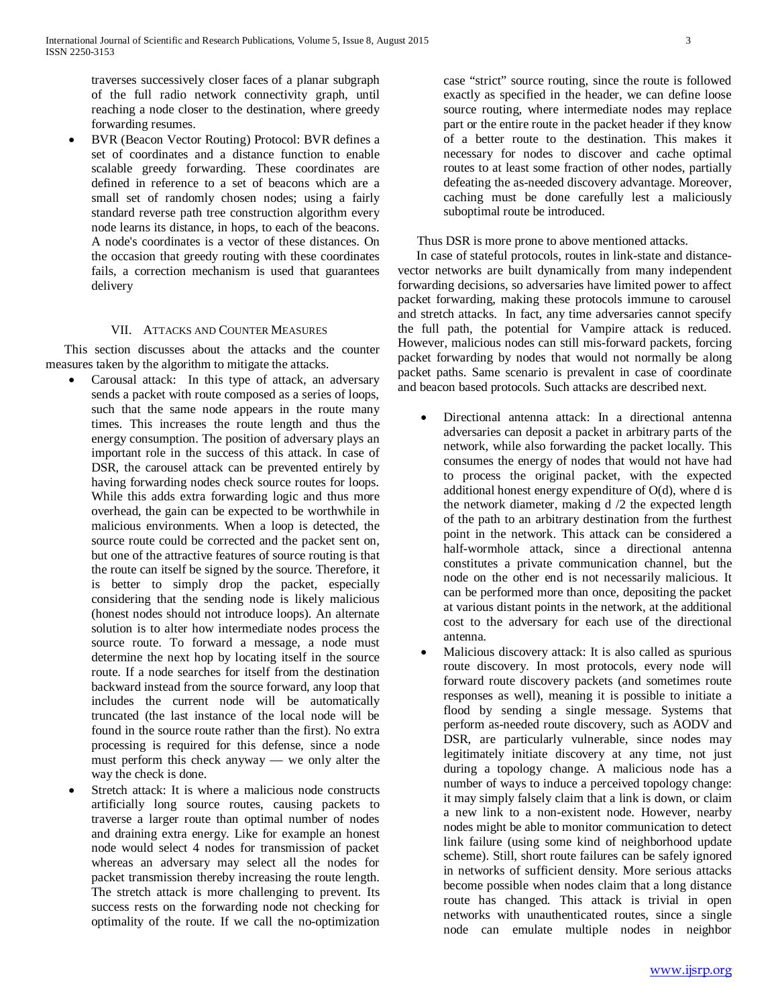traverses successively closer faces of a planar subgraph of the full radio network connectivity graph, until reaching a node closer to the destination, where greedy forwarding resumes.

• BVR (Beacon Vector Routing) Protocol: BVR defines a set of coordinates and a distance function to enable scalable greedy forwarding. These coordinates are defined in reference to a set of beacons which are a small set of randomly chosen nodes; using a fairly standard reverse path tree construction algorithm every node learns its distance, in hops, to each of the beacons. A node's coordinates is a vector of these distances. On the occasion that greedy routing with these coordinates fails, a correction mechanism is used that guarantees delivery

# VII. ATTACKS AND COUNTER MEASURES

 This section discusses about the attacks and the counter measures taken by the algorithm to mitigate the attacks.

- Carousal attack: In this type of attack, an adversary sends a packet with route composed as a series of loops, such that the same node appears in the route many times. This increases the route length and thus the energy consumption. The position of adversary plays an important role in the success of this attack. In case of DSR, the carousel attack can be prevented entirely by having forwarding nodes check source routes for loops. While this adds extra forwarding logic and thus more overhead, the gain can be expected to be worthwhile in malicious environments. When a loop is detected, the source route could be corrected and the packet sent on, but one of the attractive features of source routing is that the route can itself be signed by the source. Therefore, it is better to simply drop the packet, especially considering that the sending node is likely malicious (honest nodes should not introduce loops). An alternate solution is to alter how intermediate nodes process the source route. To forward a message, a node must determine the next hop by locating itself in the source route. If a node searches for itself from the destination backward instead from the source forward, any loop that includes the current node will be automatically truncated (the last instance of the local node will be found in the source route rather than the first). No extra processing is required for this defense, since a node must perform this check anyway — we only alter the way the check is done.
- Stretch attack: It is where a malicious node constructs artificially long source routes, causing packets to traverse a larger route than optimal number of nodes and draining extra energy. Like for example an honest node would select 4 nodes for transmission of packet whereas an adversary may select all the nodes for packet transmission thereby increasing the route length. The stretch attack is more challenging to prevent. Its success rests on the forwarding node not checking for optimality of the route. If we call the no-optimization

case "strict" source routing, since the route is followed exactly as specified in the header, we can define loose source routing, where intermediate nodes may replace part or the entire route in the packet header if they know of a better route to the destination. This makes it necessary for nodes to discover and cache optimal routes to at least some fraction of other nodes, partially defeating the as-needed discovery advantage. Moreover, caching must be done carefully lest a maliciously suboptimal route be introduced.

Thus DSR is more prone to above mentioned attacks.

 In case of stateful protocols, routes in link-state and distancevector networks are built dynamically from many independent forwarding decisions, so adversaries have limited power to affect packet forwarding, making these protocols immune to carousel and stretch attacks. In fact, any time adversaries cannot specify the full path, the potential for Vampire attack is reduced. However, malicious nodes can still mis-forward packets, forcing packet forwarding by nodes that would not normally be along packet paths. Same scenario is prevalent in case of coordinate and beacon based protocols. Such attacks are described next.

- Directional antenna attack: In a directional antenna adversaries can deposit a packet in arbitrary parts of the network, while also forwarding the packet locally. This consumes the energy of nodes that would not have had to process the original packet, with the expected additional honest energy expenditure of  $O(d)$ , where d is the network diameter, making d /2 the expected length of the path to an arbitrary destination from the furthest point in the network. This attack can be considered a half-wormhole attack, since a directional antenna constitutes a private communication channel, but the node on the other end is not necessarily malicious. It can be performed more than once, depositing the packet at various distant points in the network, at the additional cost to the adversary for each use of the directional antenna.
- Malicious discovery attack: It is also called as spurious route discovery. In most protocols, every node will forward route discovery packets (and sometimes route responses as well), meaning it is possible to initiate a flood by sending a single message. Systems that perform as-needed route discovery, such as AODV and DSR, are particularly vulnerable, since nodes may legitimately initiate discovery at any time, not just during a topology change. A malicious node has a number of ways to induce a perceived topology change: it may simply falsely claim that a link is down, or claim a new link to a non-existent node. However, nearby nodes might be able to monitor communication to detect link failure (using some kind of neighborhood update scheme). Still, short route failures can be safely ignored in networks of sufficient density. More serious attacks become possible when nodes claim that a long distance route has changed. This attack is trivial in open networks with unauthenticated routes, since a single node can emulate multiple nodes in neighbor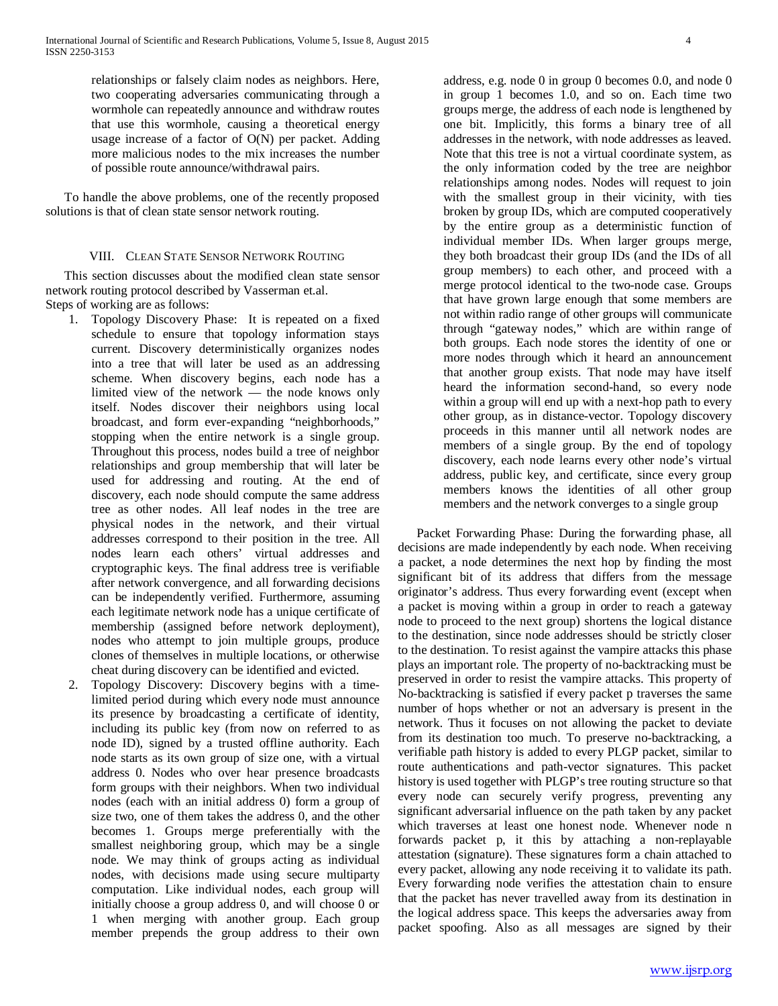relationships or falsely claim nodes as neighbors. Here, two cooperating adversaries communicating through a wormhole can repeatedly announce and withdraw routes that use this wormhole, causing a theoretical energy usage increase of a factor of O(N) per packet. Adding more malicious nodes to the mix increases the number of possible route announce/withdrawal pairs.

 To handle the above problems, one of the recently proposed solutions is that of clean state sensor network routing.

# VIII. CLEAN STATE SENSOR NETWORK ROUTING

 This section discusses about the modified clean state sensor network routing protocol described by Vasserman et.al.

- Steps of working are as follows:
	- 1. Topology Discovery Phase: It is repeated on a fixed schedule to ensure that topology information stays current. Discovery deterministically organizes nodes into a tree that will later be used as an addressing scheme. When discovery begins, each node has a limited view of the network — the node knows only itself. Nodes discover their neighbors using local broadcast, and form ever-expanding "neighborhoods," stopping when the entire network is a single group. Throughout this process, nodes build a tree of neighbor relationships and group membership that will later be used for addressing and routing. At the end of discovery, each node should compute the same address tree as other nodes. All leaf nodes in the tree are physical nodes in the network, and their virtual addresses correspond to their position in the tree. All nodes learn each others' virtual addresses and cryptographic keys. The final address tree is verifiable after network convergence, and all forwarding decisions can be independently verified. Furthermore, assuming each legitimate network node has a unique certificate of membership (assigned before network deployment), nodes who attempt to join multiple groups, produce clones of themselves in multiple locations, or otherwise cheat during discovery can be identified and evicted.
	- 2. Topology Discovery: Discovery begins with a timelimited period during which every node must announce its presence by broadcasting a certificate of identity, including its public key (from now on referred to as node ID), signed by a trusted offline authority. Each node starts as its own group of size one, with a virtual address 0. Nodes who over hear presence broadcasts form groups with their neighbors. When two individual nodes (each with an initial address 0) form a group of size two, one of them takes the address 0, and the other becomes 1. Groups merge preferentially with the smallest neighboring group, which may be a single node. We may think of groups acting as individual nodes, with decisions made using secure multiparty computation. Like individual nodes, each group will initially choose a group address 0, and will choose 0 or 1 when merging with another group. Each group member prepends the group address to their own

address, e.g. node 0 in group 0 becomes 0.0, and node 0 in group 1 becomes 1.0, and so on. Each time two groups merge, the address of each node is lengthened by one bit. Implicitly, this forms a binary tree of all addresses in the network, with node addresses as leaved. Note that this tree is not a virtual coordinate system, as the only information coded by the tree are neighbor relationships among nodes. Nodes will request to join with the smallest group in their vicinity, with ties broken by group IDs, which are computed cooperatively by the entire group as a deterministic function of individual member IDs. When larger groups merge, they both broadcast their group IDs (and the IDs of all group members) to each other, and proceed with a merge protocol identical to the two-node case. Groups that have grown large enough that some members are not within radio range of other groups will communicate through "gateway nodes," which are within range of both groups. Each node stores the identity of one or more nodes through which it heard an announcement that another group exists. That node may have itself heard the information second-hand, so every node within a group will end up with a next-hop path to every other group, as in distance-vector. Topology discovery proceeds in this manner until all network nodes are members of a single group. By the end of topology discovery, each node learns every other node's virtual address, public key, and certificate, since every group members knows the identities of all other group members and the network converges to a single group

 Packet Forwarding Phase: During the forwarding phase, all decisions are made independently by each node. When receiving a packet, a node determines the next hop by finding the most significant bit of its address that differs from the message originator's address. Thus every forwarding event (except when a packet is moving within a group in order to reach a gateway node to proceed to the next group) shortens the logical distance to the destination, since node addresses should be strictly closer to the destination. To resist against the vampire attacks this phase plays an important role. The property of no-backtracking must be preserved in order to resist the vampire attacks. This property of No-backtracking is satisfied if every packet p traverses the same number of hops whether or not an adversary is present in the network. Thus it focuses on not allowing the packet to deviate from its destination too much. To preserve no-backtracking, a verifiable path history is added to every PLGP packet, similar to route authentications and path-vector signatures. This packet history is used together with PLGP's tree routing structure so that every node can securely verify progress, preventing any significant adversarial influence on the path taken by any packet which traverses at least one honest node. Whenever node n forwards packet p, it this by attaching a non-replayable attestation (signature). These signatures form a chain attached to every packet, allowing any node receiving it to validate its path. Every forwarding node verifies the attestation chain to ensure that the packet has never travelled away from its destination in the logical address space. This keeps the adversaries away from packet spoofing. Also as all messages are signed by their